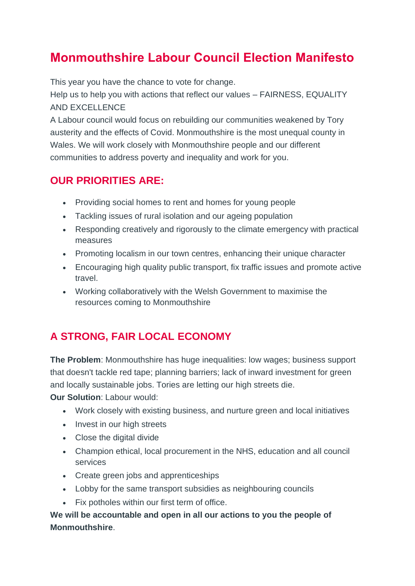# **Monmouthshire Labour Council Election Manifesto**

This year you have the chance to vote for change.

Help us to help you with actions that reflect our values – FAIRNESS, EQUALITY AND EXCELLENCE

A Labour council would focus on rebuilding our communities weakened by Tory austerity and the effects of Covid. Monmouthshire is the most unequal county in Wales. We will work closely with Monmouthshire people and our different communities to address poverty and inequality and work for you.

#### **OUR PRIORITIES ARE:**

- Providing social homes to rent and homes for young people
- Tackling issues of rural isolation and our ageing population
- Responding creatively and rigorously to the climate emergency with practical measures
- Promoting localism in our town centres, enhancing their unique character
- Encouraging high quality public transport, fix traffic issues and promote active travel.
- Working collaboratively with the Welsh Government to maximise the resources coming to Monmouthshire

## **A STRONG, FAIR LOCAL ECONOMY**

**The Problem**: Monmouthshire has huge inequalities: low wages; business support that doesn't tackle red tape; planning barriers; lack of inward investment for green and locally sustainable jobs. Tories are letting our high streets die.

**Our Solution**: Labour would:

- Work closely with existing business, and nurture green and local initiatives
- Invest in our high streets
- Close the digital divide
- Champion ethical, local procurement in the NHS, education and all council services
- Create green jobs and apprenticeships
- Lobby for the same transport subsidies as neighbouring councils
- Fix potholes within our first term of office.

**We will be accountable and open in all our actions to you the people of Monmouthshire**.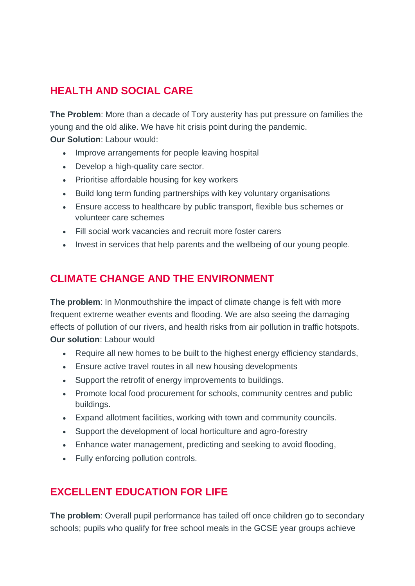## **HEALTH AND SOCIAL CARE**

**The Problem**: More than a decade of Tory austerity has put pressure on families the young and the old alike. We have hit crisis point during the pandemic.

**Our Solution**: Labour would:

- Improve arrangements for people leaving hospital
- Develop a high-quality care sector.
- Prioritise affordable housing for key workers
- Build long term funding partnerships with key voluntary organisations
- Ensure access to healthcare by public transport, flexible bus schemes or volunteer care schemes
- Fill social work vacancies and recruit more foster carers
- Invest in services that help parents and the wellbeing of our young people.

#### **CLIMATE CHANGE AND THE ENVIRONMENT**

**The problem:** In Monmouthshire the impact of climate change is felt with more frequent extreme weather events and flooding. We are also seeing the damaging effects of pollution of our rivers, and health risks from air pollution in traffic hotspots. **Our solution**: Labour would

- Require all new homes to be built to the highest energy efficiency standards,
- Ensure active travel routes in all new housing developments
- Support the retrofit of energy improvements to buildings.
- Promote local food procurement for schools, community centres and public buildings.
- Expand allotment facilities, working with town and community councils.
- Support the development of local horticulture and agro-forestry
- Enhance water management, predicting and seeking to avoid flooding,
- Fully enforcing pollution controls.

## **EXCELLENT EDUCATION FOR LIFE**

**The problem**: Overall pupil performance has tailed off once children go to secondary schools; pupils who qualify for free school meals in the GCSE year groups achieve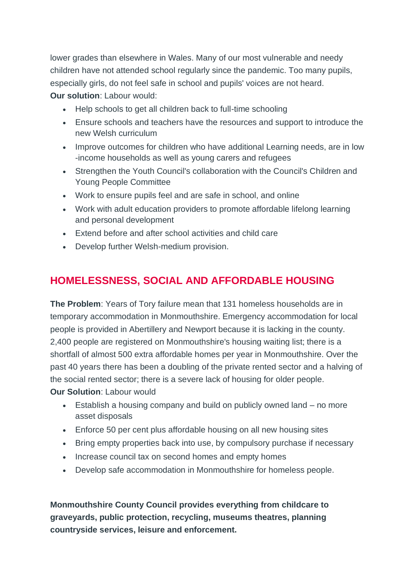lower grades than elsewhere in Wales. Many of our most vulnerable and needy children have not attended school regularly since the pandemic. Too many pupils, especially girls, do not feel safe in school and pupils' voices are not heard. **Our solution**: Labour would:

- Help schools to get all children back to full-time schooling
- Ensure schools and teachers have the resources and support to introduce the new Welsh curriculum
- Improve outcomes for children who have additional Learning needs, are in low -income households as well as young carers and refugees
- Strengthen the Youth Council's collaboration with the Council's Children and Young People Committee
- Work to ensure pupils feel and are safe in school, and online
- Work with adult education providers to promote affordable lifelong learning and personal development
- Extend before and after school activities and child care
- Develop further Welsh-medium provision.

### **HOMELESSNESS, SOCIAL AND AFFORDABLE HOUSING**

**The Problem**: Years of Tory failure mean that 131 homeless households are in temporary accommodation in Monmouthshire. Emergency accommodation for local people is provided in Abertillery and Newport because it is lacking in the county. 2,400 people are registered on Monmouthshire's housing waiting list; there is a shortfall of almost 500 extra affordable homes per year in Monmouthshire. Over the past 40 years there has been a doubling of the private rented sector and a halving of the social rented sector; there is a severe lack of housing for older people. **Our Solution**: Labour would

- Establish a housing company and build on publicly owned land no more asset disposals
- Enforce 50 per cent plus affordable housing on all new housing sites
- Bring empty properties back into use, by compulsory purchase if necessary
- Increase council tax on second homes and empty homes
- Develop safe accommodation in Monmouthshire for homeless people.

**Monmouthshire County Council provides everything from childcare to graveyards, public protection, recycling, museums theatres, planning countryside services, leisure and enforcement.**